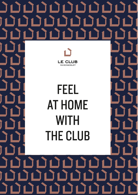

# FEEL **AT HOME WITH THE CLUB**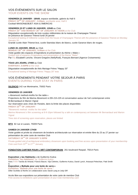## VOS ÉVÉNEMENTS SUR LE SALON YOUR EVENTS ON THE SHOW

#### **VENDREDI 23 JANVIER - 18h00**, espace worldwide, galerie du Hall 6

**FRIDAY 23RD OF JANUARY - 6:00pm**, worldwide area, Hall 6 Cocktail MAISON&OBJET ASIA & AMERICAS

#### **VENDREDI 23 ET LUNDI 26 JANVIER, 12h00** au Club

**FRIDAY 23rd AND MONDAY 26th OF JANUARY AT NOON** at the Club Dégustation exceptionnelle de trois cuvées millésimées de la maison de Champagne Thienot en présence de Garance Thienot lundi 26 janvier Exceptional tasting of millesime cuvees from the house of Champagne Thienot with the presence of Garance Thienot on Monday January 26

Grande cuvée Alain Thienot brut, cuvée Stanislas blanc de blancs, cuvée Garance blanc de rouges.

#### **LUNDI 26 JANVIER, 09h45** au Club

**MONDAY 26th OF JANUARY, 9:45am** at the Club Visite guidée des espaces d'inspirations et présentation du thème « Make » Guided visit of espaces d'inspirations and presentation of the theme "Make" Par / By Elizabeth Leriche, Vincent Gregoire (NellyRodi), François Bernard (Agence Croisements)

#### **TOUS LES JOURS, 17H00** au Club

**EVERYDAY, 5:00PM** at the Club Dégustation exceptionnelle de thés Mariage Frères "Happy 20" Exceptional tasting of Mariage Frères "Happy 20" teas

## VOS ÉVÉNEMENTS PENDANT VOTRE SEJOUR À PARIS EVENTS DURING YOUR STAY IN PARIS

**SILENCIO** 142 rue Montmartre, 75002 Paris

**VENDREDI 23 JANVIER** « Abramović method-misfits for the table » Projections du film de Marina Abramović à 20h-21h-22h et conversation autour de l'art contemporain entre M.Bernardaud et Marion Vignal Sur réservation avec choix de l'horaire, dans la limite des places disponibles **FRIDAY 23RD OF JANUARY** "Abramović method- misfits for the table" Marina Abramovic's film screening at 8-9-10pm followed by a talk on contemporary art between Mr Bernardaud and Marion Vignal Time slot of screening upon reservation, places are limited

**MTX** 82 rue st Lazare, 75009 Paris

#### **SAMEDI 24 JANVIER 17H30**

Visite guidée et privée du showroom de broderie architecturale sur réservation et entrée libre du 23 au 27 janvier sur présentation de votre carte de membre Club

**SATURDAY 24TH OF JANUARY 5:30PM**

Private-guided visit of architectural embroidery showroom upon booking and free access upon presentation of your membership Club card from  $23<sup>RD</sup>$  to  $27<sup>TH</sup>$  January

#### **FONDATION CARTIER POUR L'ART CONTEMPORAIN** 261 boulevard Raspail, 75014 Paris

#### **Exposition « les Habitants »** de Guillermo Kuitca

**Exhibition "les Habitants"** by Guillermo Kuitca Avec / With Tarsila do Amaral, Francis Bacon, Vija Celmins, Guillermo Kuitca, David Lynch, Artavazd Pelechian, Patti Smith &

#### **Exposition « Ballade pour une boite de verre »**

**Exhibition "Ballade pour une boite de verre "**

Diller Scofidio & Renfro en collaboration avec David Lang et Jody Elff

Accès libre aux expositions sur présentation de votre carte de membre Club Free access to exhibitions upon presentation of your Club membership card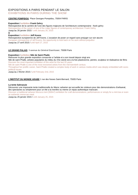## EXPOSITIONS A PARIS PENDANT LE SALON EXHIBITIONS IN PARIS DURING THE SHOW

#### **CENTRE POMPIDOU** Place Georges-Pompidou, 75004 PARIS

#### **Exposition / exhbition Frank Gehry**

Retrospective de la carrière de l'une des figures majeures de l'architecture contemporaine : frank gehry Retrospective of the career of one of the major figures of contemporary architecture: Frank Gehry Jusqu'au 26 janvier 2015 / until January 26, 2015 **&**

#### **Exposition / exhbition Jeff Koons**

Retrospective europeenne de Jeff Koons. L'occasion de poser un regard sans prejuger sur son œuvre European retrospective of Jeff Koons, the opportunity to look back on his work without prejudice Jusqu'au 27 avril 2015 / until April 27, 2015

**LE GRAND PALAIS** 3 avenue du Général Eisenhower, 75008 Paris

#### **Exposition / exhbition Niki de Saint Phalle**

Retrouver la plus grande exposition consacrée a l'artiste et a son travail depuis vingt ans

Niki de saint Phalle, artistes populaires du milieu du XXe siecle est a la fois plasticienne, peintre, sculpteur et réalisatrice de films Discover the most important exhibition of this artist for the last 20 years

Niki de saint Phalle is one of the most renowned artists from the mid-twentieth century

Throughout her prolific career, Saint Phalle created a complex body of work in various media which was deeply embedded with sociopolitical issues.

Jusqu'au 2 février 2015 / until February 2nd, 2015

#### **L'INSTITUT DU MONDE ARABE** 1 rue des fosses Saint-Bernard, 75005 Paris

#### **La tente [Sahraouie](http://www.imarabe.org/exposition/le-maroc-contemporain-sur-le-parvis-de-l-ima)**

Découvrez une imposante tente traditionnelle du Maroc saharien qui accueille les visiteurs pour des demonstrations d'artisanat, des spectacles ou simplement pour un thé a la menthe ou meme un repas authentique marocain.

Discover a traditional saharan Morocco tent (500m²) exhibition for craft demonstrations, performances or simply for a mint tea or even an authentic moroccan meal.

Jusqu'au 25 janvier 2015 / until January 25, 2015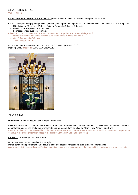## SPA – BIEN-ETRE WELL NESS

#### **LA SUITE BIEN-ETRE BY OLIVIER LECOCQ** Hôtel Prince de Galles, 33 Avenue George V, 75008 Paris

Olivier Lecocq et son équipe de praticiens, vous reçoivent pour une experience authentique de soins d'exception au tarif negociés. Rituel divin de 90 min a la Wellness Suite au Prince de Galles ou à domicile

- Le soin "after shopping" de 45 minutes
- Le massage "dos pure" de 45 minutes

Olivier Lecocq and his team welcome you for an authentic experience of care of privilege tariff.

- Divine ritual 90 minutes at the wellness suite at the prince of wales and home
- Care "after shopping" 45 minutes
- The massage "pure dos"

#### RESERVATION & INFORMATION OLIVIER LECOCQ / (+33)06 28 67 81 08 Mot de passe / password: CLUB MAISON&OBJET



# SHOPPING

#### **PANERAI** 5, rue du Faubourg Saint-Honoré, 75008 Paris

Le concept décoratif de la décoratrice Patricia Urquiola qui a renouvelé sa collaboration avec la maison Panerai le concept devrait se prolonger au sein des boutiques-évenements en préparation dans les villes de Miami, New York et Hong Kong. Patricia Urquiola, who has renewed her collaboration with Panerai, works on the new show room in Paris. This concept is expected to continue in the event-preparation shops in the cities of Miami, New York and Hong Kong.

#### **LE BLOU** 77 rue Legendre, 75017 Paris

Un nouveau concept store de la déco life style

Pensé comme un appartement, la boutique expose des produits fonctionnels et en avance des tendances.

A new concept store specialized in life style decoration conceived as an apartment; the store exhibits functional and trendy products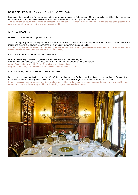#### **BORGO DELLE TOVAGLIE** 4, rue du Grand-Prieuré 75011 Paris

La maison italienne choisit Paris pour implanter son premier magasin a l'international. Un ancien atelier de 700m<sup>2</sup> dans lequel les créateurs présentent leur collection en Art de la table, textile de maison et objets de décoration.

The italian fashion house chose Paris for its first international store. A former 700m² workshops, in which the designers present their collections of tableware, home textiles and decorative objects.

## RESTAURANTS

**PORTE 12** 12 rue des Messageries 75010 Paris

Andre Chiang, le grand Chef singapourien a signé la carte de cet ancien atelier de lingerie fine devenu loft gastronomique. Au menu, une cuisine aux saveurs recherchées qui s'articulent autour d'un menu en 5 plats. André Chiang, the famous singapore Chef has signed the menu of this former lingerie shop now a gourmet loft. The menu features a french cuisine with fine flavors that around a 5-courses menu.

#### **LES CHOUETTES** 32 rue de Picardie, 75003 Paris

Une décoration esprit Art-Deco signée Lazaro Rosa-Violan, architecte espagnol. Elegant mais pas guindé, les Chouettes se veulent le nouveau restaurant-bar chic du Marais. An Art-Deco design by e spirit Lázaro Rosa Violán, spanish architect. Elegant but not stuffy, les Chouettes is the new chic restaurant in the Marais

#### **SOLUXE 59** 59, avenue Raymond-Poincaré, 75016 Paris

Dans un ancien hôtel particulier restauré et décoré dans le plus pur style Art-Deco par l'architecte d'interieur Joseph Caspari, trois Chefs chinois déclinent les grands classiques de la tradition culinaire des régions de Pekin, du Hunan et de Canton. In an old mansion recently restored and decorated in pure Art-Deco style by interior designer Joseph Caspari, three chinese Chefs recreate the classics of the culinary tradition of the Beijing region, Hunan and Cantonese.